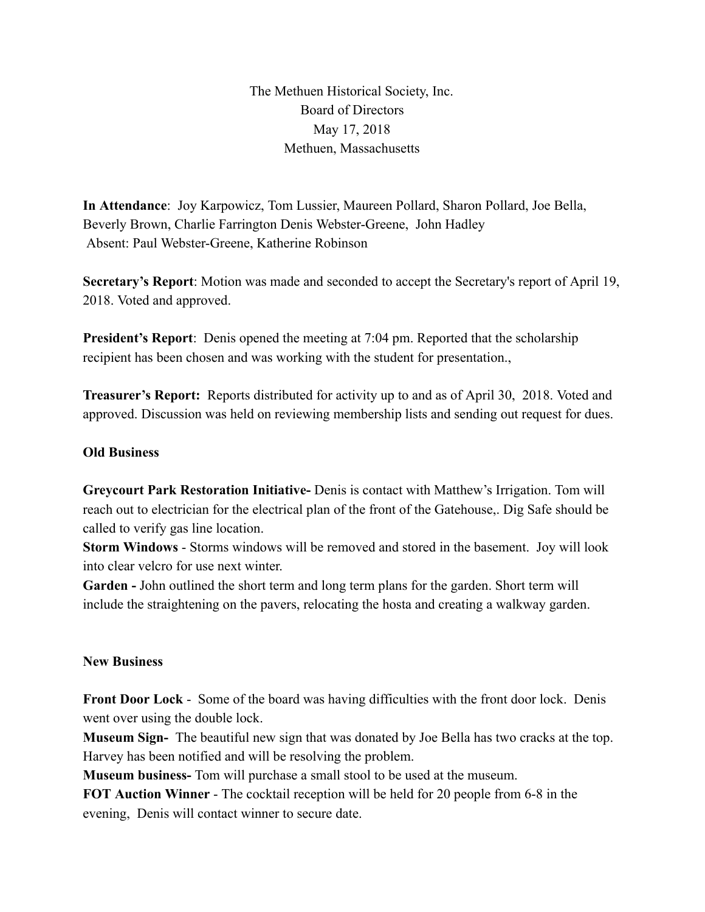The Methuen Historical Society, Inc. Board of Directors May 17, 2018 Methuen, Massachusetts

**In Attendance** : Joy Karpowicz, Tom Lussier, Maureen Pollard, Sharon Pollard, Joe Bella, Beverly Brown, Charlie Farrington Denis Webster-Greene, John Hadley Absent: Paul Webster-Greene, Katherine Robinson

**Secretary's Report:** Motion was made and seconded to accept the Secretary's report of April 19, 2018. Voted and approved.

**President's Report:** Denis opened the meeting at 7:04 pm. Reported that the scholarship recipient has been chosen and was working with the student for presentation.,

**Treasurer's Report:** Reports distributed for activity up to and as of April 30, 2018. Voted and approved. Discussion was held on reviewing membership lists and sending out request for dues.

## **Old Business**

**Greycourt Park Restoration Initiative-** Denis is contact with Matthew's Irrigation. Tom will reach out to electrician for the electrical plan of the front of the Gatehouse,. Dig Safe should be called to verify gas line location.

**Storm Windows - Storms windows will be removed and stored in the basement. Joy will look** into clear velcro for use next winter.

Garden - John outlined the short term and long term plans for the garden. Short term will include the straightening on the pavers, relocating the hosta and creating a walkway garden.

## **New Business**

**Front Door Lock -** Some of the board was having difficulties with the front door lock. Denis went over using the double lock.

**Museum Sign-** The beautiful new sign that was donated by Joe Bella has two cracks at the top. Harvey has been notified and will be resolving the problem.

**Museum business-** Tom will purchase a small stool to be used at the museum.

**FOT Auction Winner** - The cocktail reception will be held for 20 people from 6-8 in the evening, Denis will contact winner to secure date.